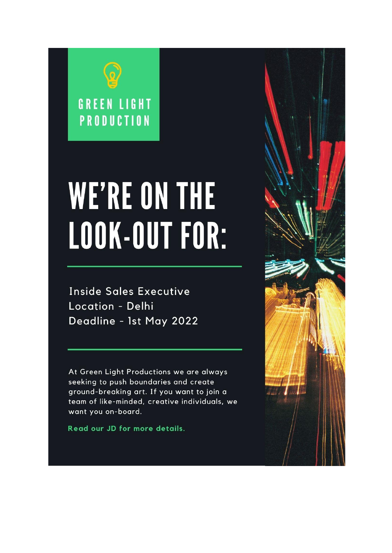

# **WE'RE ON THE** LOOK-OUT FOR:

**Inside Sales Executive** Location - Delhi Deadline - 1st May 2022

At Green Light Productions we are always seeking to push boundaries and create ground-breaking art. If you want to join a team of like-minded, creative individuals, we want you on-board.

Read our JD for more details.

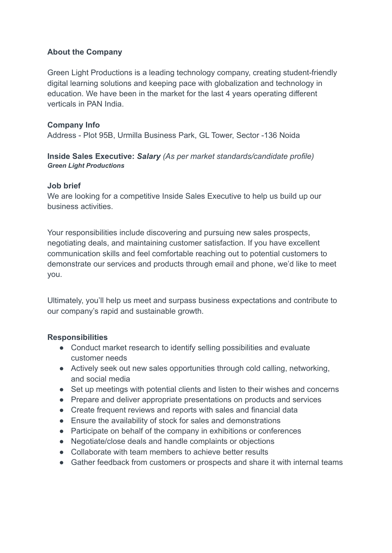# **About the Company**

Green Light Productions is a leading technology company, creating student-friendly digital learning solutions and keeping pace with globalization and technology in education. We have been in the market for the last 4 years operating different verticals in PAN India.

# **Company Info**

Address - Plot 95B, Urmilla Business Park, GL Tower, Sector -136 Noida

### **Inside Sales Executive:** *Salary (As per market standards/candidate profile) Green Light Productions*

### **Job brief**

We are looking for a competitive Inside Sales Executive to help us build up our business activities.

Your responsibilities include discovering and pursuing new sales prospects, negotiating deals, and maintaining customer satisfaction. If you have excellent communication skills and feel comfortable reaching out to potential customers to demonstrate our services and products through email and phone, we'd like to meet you.

Ultimately, you'll help us meet and surpass business expectations and contribute to our company's rapid and sustainable growth.

# **Responsibilities**

- Conduct market research to identify selling possibilities and evaluate customer needs
- Actively seek out new sales opportunities through cold calling, networking, and social media
- Set up meetings with potential clients and listen to their wishes and concerns
- Prepare and deliver appropriate presentations on products and services
- Create frequent reviews and reports with sales and financial data
- Ensure the availability of stock for sales and demonstrations
- Participate on behalf of the company in exhibitions or conferences
- Negotiate/close deals and handle complaints or objections
- Collaborate with team members to achieve better results
- Gather feedback from customers or prospects and share it with internal teams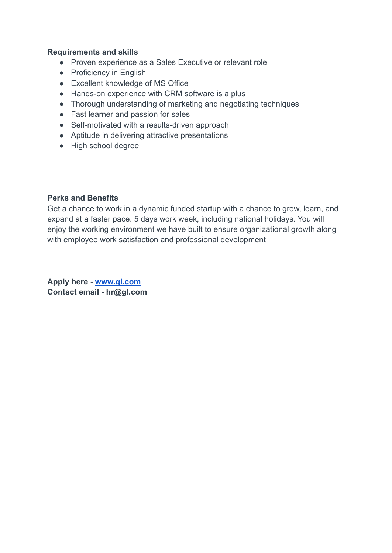### **Requirements and skills**

- Proven experience as a Sales Executive or relevant role
- Proficiency in English
- Excellent knowledge of MS Office
- Hands-on experience with CRM software is a plus
- Thorough understanding of marketing and negotiating techniques
- Fast learner and passion for sales
- Self-motivated with a results-driven approach
- Aptitude in delivering attractive presentations
- High school degree

### **Perks and Benefits**

Get a chance to work in a dynamic funded startup with a chance to grow, learn, and expand at a faster pace. 5 days work week, including national holidays. You will enjoy the working environment we have built to ensure organizational growth along with employee work satisfaction and professional development

**Apply here - [www.gl.com](http://www.gl.com) Contact email - hr@gl.com**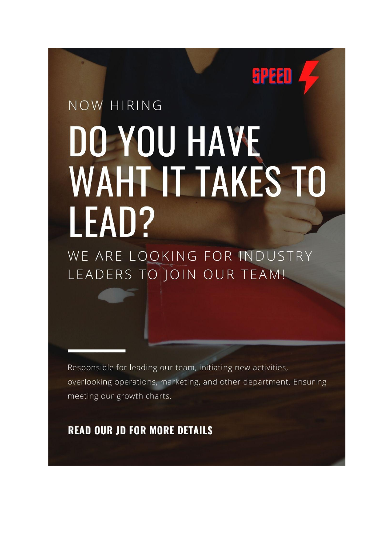# NOW HIRING DO YOU HAVE **WAHT IT TAKES TO** LEAD?

**SPEED** 

WE ARE LOOKING FOR INDUSTRY LEADERS TO JOIN OUR TEAM!

Responsible for leading our team, initiating new activities, overlooking operations, marketing, and other department. Ensuring meeting our growth charts.

**READ OUR JD FOR MORE DETAILS**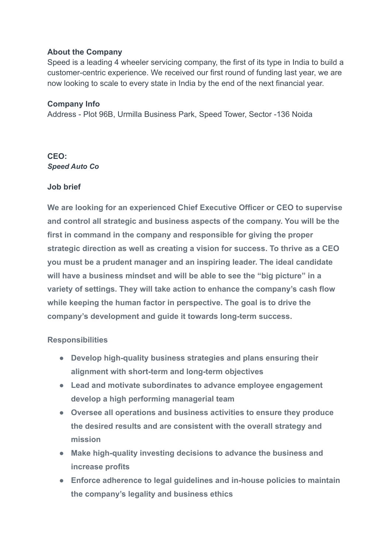### **About the Company**

Speed is a leading 4 wheeler servicing company, the first of its type in India to build a customer-centric experience. We received our first round of funding last year, we are now looking to scale to every state in India by the end of the next financial year.

### **Company Info**

Address - Plot 96B, Urmilla Business Park, Speed Tower, Sector -136 Noida

### **CEO:** *Speed Auto Co*

### **Job brief**

**We are looking for an experienced Chief Executive Officer or CEO to supervise and control all strategic and business aspects of the company. You will be the first in command in the company and responsible for giving the proper strategic direction as well as creating a vision for success. To thrive as a CEO you must be a prudent manager and an inspiring leader. The ideal candidate will have a business mindset and will be able to see the "big picture" in a variety of settings. They will take action to enhance the company's cash flow while keeping the human factor in perspective. The goal is to drive the company's development and guide it towards long-term success.**

### **Responsibilities**

- **● Develop high-quality business strategies and plans ensuring their alignment with short-term and long-term objectives**
- **● Lead and motivate subordinates to advance employee engagement develop a high performing managerial team**
- **● Oversee all operations and business activities to ensure they produce the desired results and are consistent with the overall strategy and mission**
- **● Make high-quality investing decisions to advance the business and increase profits**
- **● Enforce adherence to legal guidelines and in-house policies to maintain the company's legality and business ethics**